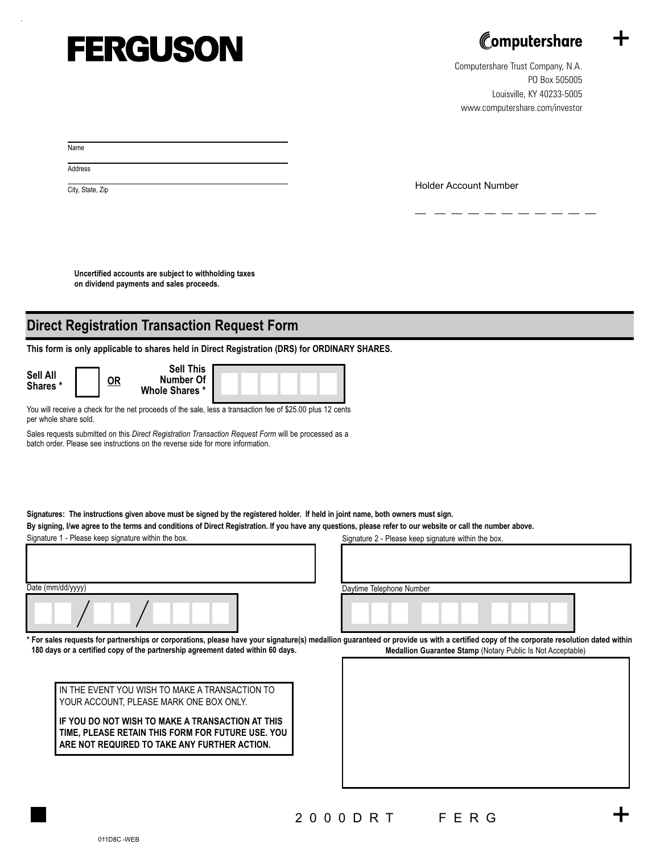## **FERGUSON**



+

+

Computershare Trust Company, N.A. PO Box 505005 Louisville, KY 40233-5005 www.computershare.com/investor

Name

.

**Address** 

City, State, Zip **City**, State, Zip

**Uncertified accounts are subject to withholding taxes on dividend payments and sales proceeds.**

## **Direct Registration Transaction Request Form**

**This form is only applicable to shares held in Direct Registration (DRS) for ORDINARY SHARES.**

| Sell All<br>Shares * |  | <u>OR</u> | <b>Sell This</b><br>Number Of<br>Whole Shares * |  |
|----------------------|--|-----------|-------------------------------------------------|--|
|                      |  |           |                                                 |  |

You will receive a check for the net proceeds of the sale, less a transaction fee of \$25.00 plus 12 cents per whole share sold.

Sales requests submitted on this *Direct Registration Transaction Request Form* will be processed as a batch order. Please see instructions on the reverse side for more information.

**Signatures: The instructions given above must be signed by the registered holder. If held in joint name, both owners must sign.** 

**By signing, I/we agree to the terms and conditions of Direct Registration. If you have any questions, please refer to our website or call the number above.**

Signature 1 - Please keep signature within the box. Signature 2 - Please keep signature within the box.

| Date (mm/dd/yyyy) |  |
|-------------------|--|
|                   |  |

Daytime Telephone Number

**Medallion Guarantee Stamp** (Notary Public Is Not Acceptable) **\* For sales requests for partnerships or corporations, please have your signature(s) medallion guaranteed or provide us with a certified copy of the corporate resolution dated within 180 days or a certified copy of the partnership agreement dated within 60 days.**

IN THE EVENT YOU WISH TO MAKE A TRANSACTION TO YOUR ACCOUNT, PLEASE MARK ONE BOX ONLY.

**IF YOU DO NOT WISH TO MAKE A TRANSACTION AT THIS TIME, PLEASE RETAIN THIS FORM FOR FUTURE USE. YOU ARE NOT REQUIRED TO TAKE ANY FURTHER ACTION.**